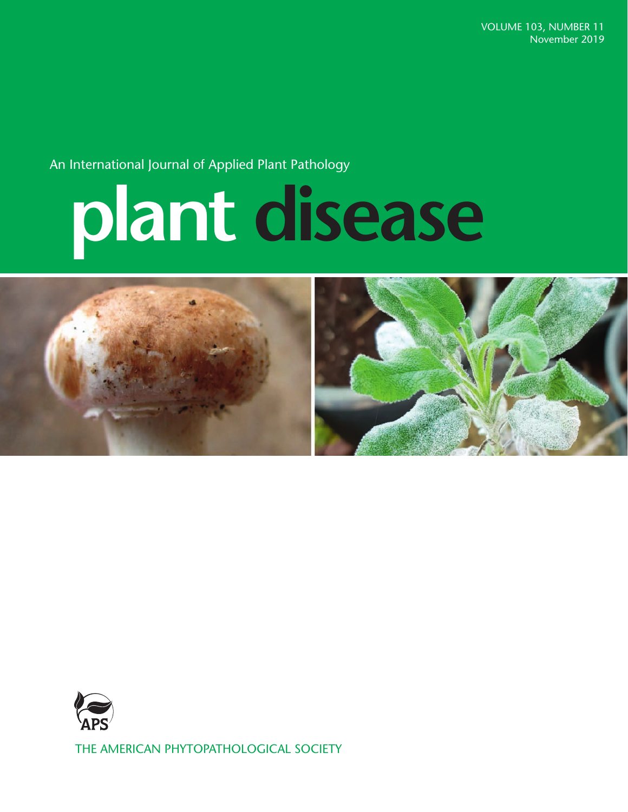An International Journal of Applied Plant Pathology

# **plant disease**





THE AMERICAN PHYTOPATHOLOGICAL SOCIETY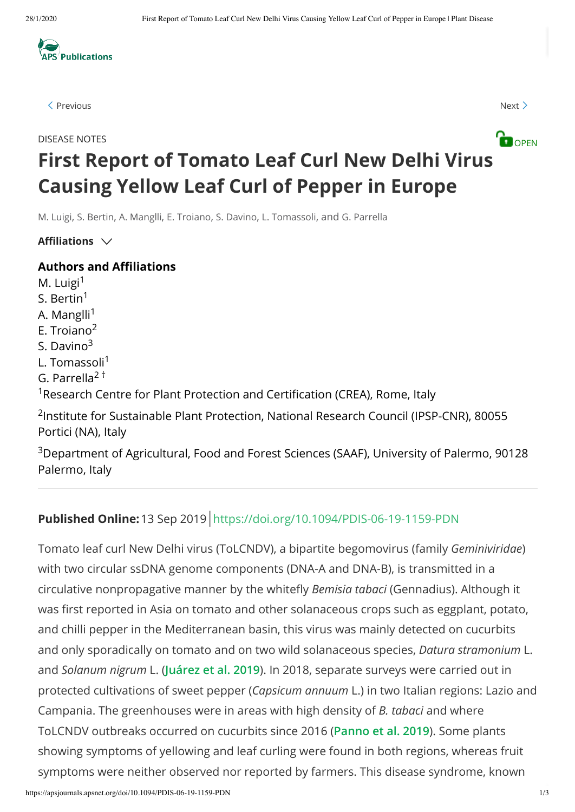

 $\langle$  [Previous](https://apsjournals.apsnet.org/doi/10.1094/PDIS-03-19-0444-PDN) [Next](https://apsjournals.apsnet.org/doi/10.1094/PDIS-05-19-1037-PDN)  $\rangle$ 



## **OPEN DISEASE NOTES First Report of Tomato Leaf Curl New Delhi Virus Causing Yellow Leaf Curl of Pepper in Europe**

M. Luigi, S. Bertin, A. Manglli, E. Troiano, S. Davino, L. Tomassoli, and G. Parrella

Affiliations  $\vee$ 

#### **Authors and Affiliations**

M. Luigi<sup>1</sup> S. Bertin<sup>1</sup> A. Manglli<sup>1</sup> E. Troiano 2 S. Davino<sup>3</sup> L. Tomassoli<sup>1</sup> G. Parrella<sup>2†</sup> <sup>1</sup> Research Centre for Plant Protection and Certification (CREA), Rome, Italy <sup>2</sup>Institute for Sustainable Plant Protection, National Research Council (IPSP-CNR), 80055 Portici (NA), Italy

 $3$ Department of Agricultural, Food and Forest Sciences (SAAF), University of Palermo, 90128 Palermo, Italy

### **Published Online:**13 Sep 2019 <https://doi.org/10.1094/PDIS-06-19-1159-PDN>

Tomato leaf curl New Delhi virus (ToLCNDV), a bipartite begomovirus (family *Geminiviridae*) with two circular ssDNA genome components (DNA-A and DNA-B), is transmitted in a circulative nonpropagative manner by the whitefly *Bemisia tabaci* (Gennadius). Although it was first reported in Asia on tomato and other solanaceous crops such as eggplant, potato, and chilli pepper in the Mediterranean basin, this virus was mainly detected on cucurbits and only sporadically on tomato and on two wild solanaceous species, *Datura stramonium* L. and *Solanum nigrum* L. (**Juárez et al. 2019**). In 2018, separate surveys were carried out in protected cultivations of sweet pepper (*Capsicum annuum* L.) in two Italian regions: Lazio and Campania. The greenhouses were in areas with high density of *B. tabaci* and where ToLCNDV outbreaks occurred on cucurbits since 2016 (**Panno et al. 2019**). Some plants showing symptoms of yellowing and leaf curling were found in both regions, whereas fruit symptoms were neither observed nor reported by farmers. This disease syndrome, known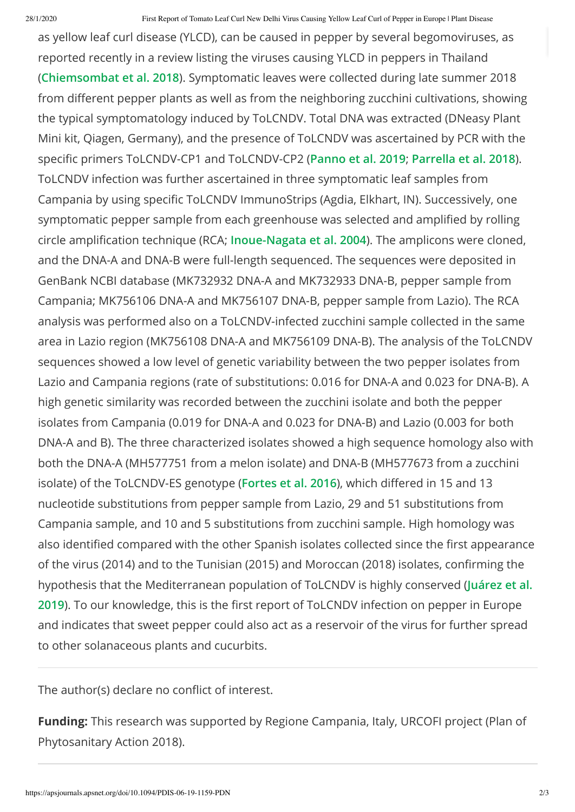as yellow leaf curl disease (YLCD), can be caused in pepper by several begomoviruses, as reported recently in a review listing the viruses causing YLCD in peppers in Thailand (**Chiemsombat et al. 2018**). Symptomatic leaves were collected during late summer 2018 from different pepper plants as well as from the neighboring zucchini cultivations, showing the typical symptomatology induced by ToLCNDV. Total DNA was extracted (DNeasy Plant Mini kit, Qiagen, Germany), and the presence of ToLCNDV was ascertained by PCR with the specific primers ToLCNDV-CP1 and ToLCNDV-CP2 (Panno et al. 2019; Parrella et al. 2018). ToLCNDV infection was further ascertained in three symptomatic leaf samples from Campania by using specific ToLCNDV ImmunoStrips (Agdia, Elkhart, IN). Successively, one symptomatic pepper sample from each greenhouse was selected and amplified by rolling circle amplication technique (RCA; **Inoue-Nagata et al. 2004**). The amplicons were cloned, and the DNA-A and DNA-B were full-length sequenced. The sequences were deposited in GenBank NCBI database (MK732932 DNA-A and MK732933 DNA-B, pepper sample from Campania; MK756106 DNA-A and MK756107 DNA-B, pepper sample from Lazio). The RCA analysis was performed also on a ToLCNDV-infected zucchini sample collected in the same area in Lazio region (MK756108 DNA-A and MK756109 DNA-B). The analysis of the ToLCNDV sequences showed a low level of genetic variability between the two pepper isolates from Lazio and Campania regions (rate of substitutions: 0.016 for DNA-A and 0.023 for DNA-B). A high genetic similarity was recorded between the zucchini isolate and both the pepper isolates from Campania (0.019 for DNA-A and 0.023 for DNA-B) and Lazio (0.003 for both DNA-A and B). The three characterized isolates showed a high sequence homology also with both the DNA-A (MH577751 from a melon isolate) and DNA-B (MH577673 from a zucchini isolate) of the ToLCNDV-ES genotype (Fortes et al. 2016), which differed in 15 and 13 nucleotide substitutions from pepper sample from Lazio, 29 and 51 substitutions from Campania sample, and 10 and 5 substitutions from zucchini sample. High homology was also identified compared with the other Spanish isolates collected since the first appearance of the virus (2014) and to the Tunisian (2015) and Moroccan (2018) isolates, confirming the hypothesis that the Mediterranean population of ToLCNDV is highly conserved (**Juárez et al.** 2019). To our knowledge, this is the first report of ToLCNDV infection on pepper in Europe and indicates that sweet pepper could also act as a reservoir of the virus for further spread to other solanaceous plants and cucurbits.

The author(s) declare no conflict of interest.

**Funding:** This research was supported by Regione Campania, Italy, URCOFI project (Plan of Phytosanitary Action 2018).